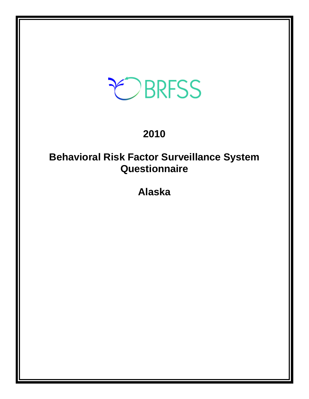# EBRFSS

## **2010**

## **Behavioral Risk Factor Surveillance System Questionnaire**

**Alaska**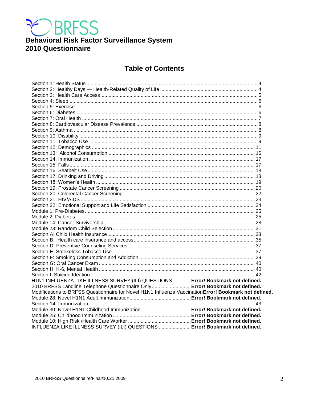

## Behavioral Risk Factor Surveillance System 2010 Questionnaire

## **Table of Contents**

| H1N1 INFLUENZA LIKE ILLNESS SURVEY (ILI) QUESTIONS  Error! Bookmark not defined.                      |  |
|-------------------------------------------------------------------------------------------------------|--|
| 2010 BRFSS Landline Telephone Questionnaire Only  Error! Bookmark not defined.                        |  |
| Modifications to BRFSS Questionnaire for Novel H1N1 Influenza Vaccination Error! Bookmark not defined |  |
|                                                                                                       |  |
|                                                                                                       |  |
|                                                                                                       |  |
|                                                                                                       |  |
|                                                                                                       |  |
| INFLUENZA LIKE ILLNESS SURVEY (ILI) QUESTIONS  Error! Bookmark not defined.                           |  |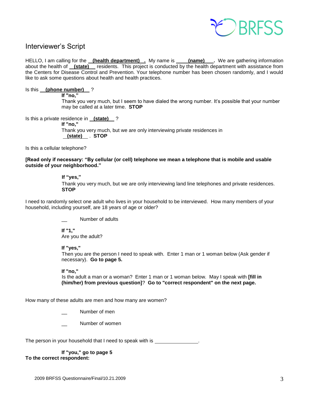

## Interviewer's Script

HELLO, I am calling for the **(health department) .** My name is **(name) .** We are gathering information about the health of **(state)** residents. This project is conducted by the health department with assistance from the Centers for Disease Control and Prevention. Your telephone number has been chosen randomly, and I would like to ask some questions about health and health practices.

#### Is this **(phone number)** ?

**If "no,"** 

Thank you very much, but I seem to have dialed the wrong number. It's possible that your number may be called at a later time. **STOP**

Is this a private residence in **(state)** ?

**If "no,"**

Thank you very much, but we are only interviewing private residences in  **(state)** . **STOP**

Is this a cellular telephone?

#### **[Read only if necessary: "By cellular (or cell) telephone we mean a telephone that is mobile and usable outside of your neighborhood."**

#### **If "yes,"**

Thank you very much, but we are only interviewing land line telephones and private residences. **STOP** 

I need to randomly select one adult who lives in your household to be interviewed. How many members of your household, including yourself, are 18 years of age or older?

Number of adults

**If "1,"**  Are you the adult?

#### **If "yes,"**

Then you are the person I need to speak with. Enter 1 man or 1 woman below (Ask gender if necessary). **Go to page 5.**

#### **If "no,"**

 Is the adult a man or a woman? Enter 1 man or 1 woman below. May I speak with **[fill in (him/her) from previous question]**? **Go to "correct respondent" on the next page.**

How many of these adults are men and how many are women?

- Number of men
- Number of women

The person in your household that I need to speak with is \_

**If "you," go to page 5 To the correct respondent:**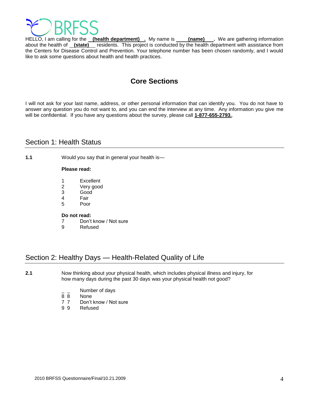

HELLO, I am calling for the **(health department)** . My name is **(name)** . We are gathering information about the health of **(state)** residents. This project is conducted by the health department with assistance from the Centers for Disease Control and Prevention. Your telephone number has been chosen randomly, and I would like to ask some questions about health and health practices.

## **Core Sections**

I will not ask for your last name, address, or other personal information that can identify you. You do not have to answer any question you do not want to, and you can end the interview at any time. Any information you give me will be confidential. If you have any questions about the survey, please call **1-877-655-2793.**.

## <span id="page-3-0"></span>Section 1: Health Status

**1.1** Would you say that in general your health is—

#### **Please read:**

- 1 Excellent
- 2 Very good
- 3 Good
- 4 Fair
- 5 Poor

#### **Do not read:**

- 7 Don't know / Not sure
- 9 Refused

## <span id="page-3-1"></span>Section 2: Healthy Days — Health-Related Quality of Life

**2.1** Now thinking about your physical health, which includes physical illness and injury, for how many days during the past 30 days was your physical health not good?

- Number of days
- 8 8 None
- 7 7 Don't know / Not sure
- 9 9 Refused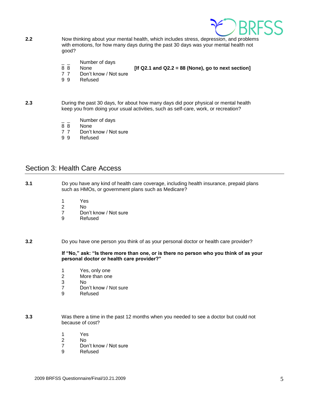

- **2.2** Now thinking about your mental health, which includes stress, depression, and problems with emotions, for how many days during the past 30 days was your mental health not good?
	- $\frac{1}{8}$   $\frac{1}{8}$  Number of days
		- None *If Q2.1 and Q2.2 = 88 (None), go to next section]*
	- 7 7 Don't know / Not sure
	- 9 9 Refused
- **2.3** During the past 30 days, for about how many days did poor physical or mental health keep you from doing your usual activities, such as self-care, work, or recreation?
	- $\frac{1}{8}$   $\frac{1}{8}$  Number of days
	- None
	- 7 7 Don't know / Not sure
	- 9 9 Refused

### <span id="page-4-0"></span>Section 3: Health Care Access

**3.1** Do you have any kind of health care coverage, including health insurance, prepaid plans such as HMOs, or government plans such as Medicare?

- 1 Yes
- 2 No<br>7 Dol
- Don't know / Not sure
- 9 Refused

**3.2** Do you have one person you think of as your personal doctor or health care provider?

**If "No," ask: "Is there more than one, or is there no person who you think of as your personal doctor or health care provider?"**

- 1 Yes, only one
- 2 More than one
- 3 No
- 7 Don't know / Not sure
- 9 Refused
- **3.3** Was there a time in the past 12 months when you needed to see a doctor but could not because of cost?
	- 1 Yes
	- 2 No
	- 7 Don't know / Not sure
	- 9 Refused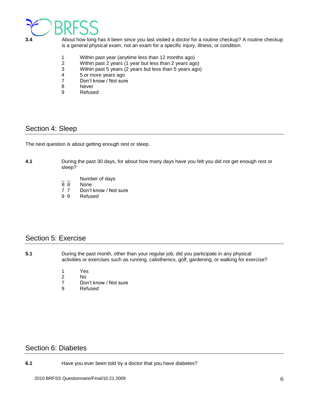

**3.4** About how long has it been since you last visited a doctor for a routine checkup? A routine checkup is a general physical exam, not an exam for a specific injury, illness, or condition.

- 1 Within past year (anytime less than 12 months ago)
- 2 Within past 2 years (1 year but less than 2 years ago)
- 3 Within past 5 years (2 years but less than 5 years ago)
- 4 5 or more years ago<br>7 Don't know / Not sure
- Don't know / Not sure
- 8 Never
- 9 Refused

## <span id="page-5-0"></span>Section 4: Sleep

The next question is about getting enough rest or sleep.

#### **4.1** During the past 30 days, for about how many days have you felt you did not get enough rest or sleep?

- $\frac{1}{8}$   $\frac{1}{8}$  Number of days
- **None**
- 7 7 Don't know / Not sure
- 9 9 Refused

## <span id="page-5-1"></span>Section 5: Exercise

- **5.1** During the past month, other than your regular job, did you participate in any physical activities or exercises such as running, calisthenics, golf, gardening, or walking for exercise?
	- 1 Yes
	- 2 No
	- 7 Don't know / Not sure<br>9 Refused
	- **Refused**

## <span id="page-5-2"></span>Section 6: Diabetes

**6.1** Have you ever been told by a doctor that you have diabetes?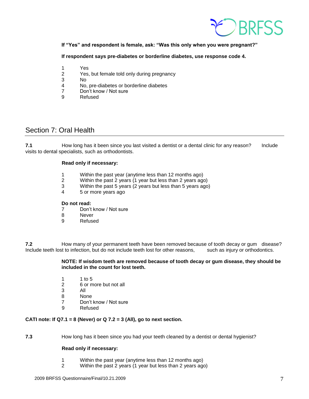

#### **If "Yes" and respondent is female, ask: "Was this only when you were pregnant?"**

**If respondent says pre-diabetes or borderline diabetes, use response code 4.** 

- 1 Yes
- 2 Yes, but female told only during pregnancy
- 3 No
- 4 No, pre-diabetes or borderline diabetes
- Don't know / Not sure
- 9 Refused

## <span id="page-6-0"></span>Section 7: Oral Health

**7.1** How long has it been since you last visited a dentist or a dental clinic for any reason? Include visits to dental specialists, such as orthodontists.

#### **Read only if necessary:**

- 1 Within the past year (anytime less than 12 months ago)
- 2 Within the past 2 years (1 year but less than 2 years ago)
- 3 Within the past 5 years (2 years but less than 5 years ago)
- 4 5 or more years ago

#### **Do not read:**

- 7 Don't know / Not sure
- 8 Never
- 9 Refused

**7.2** How many of your permanent teeth have been removed because of tooth decay or gum disease? Include teeth lost to infection, but do not include teeth lost for other reasons, such as injury or orthodontics.

> **NOTE: If wisdom teeth are removed because of tooth decay or gum disease, they should be included in the count for lost teeth.**

- 1 1 to 5
- 2 6 or more but not all
- 3 All
- 8 None
- 7 Don't know / Not sure
- 9 Refused

#### **CATI note: If Q7.1 = 8 (Never) or Q 7.2 = 3 (All), go to next section.**

**7.3** How long has it been since you had your teeth cleaned by a dentist or dental hygienist?

#### **Read only if necessary:**

- 1 Within the past year (anytime less than 12 months ago)
- 2 Within the past 2 years (1 year but less than 2 years ago)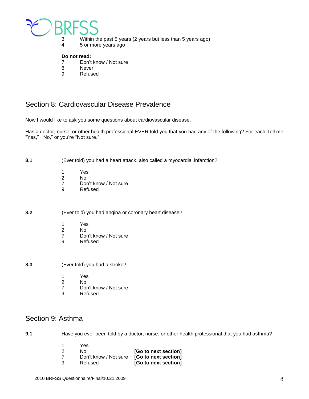

- 3 Within the past 5 years (2 years but less than 5 years ago)
- 4 5 or more years ago

#### **Do not read:**

- 7 Don't know / Not sure
- 8 Never
- 9 Refused

## <span id="page-7-0"></span>Section 8: Cardiovascular Disease Prevalence

Now I would like to ask you some questions about cardiovascular disease.

Has a doctor, nurse, or other health professional EVER told you that you had any of the following? For each, tell me "Yes," "No," or you're "Not sure."

**8.1** (Ever told) you had a heart attack, also called a myocardial infarction?

- 1 Yes<br>2 No
- No.
- 7 Don't know / Not sure
- 9 Refused

**8.2** (Ever told) you had angina or coronary heart disease?

- 
- 1 Yes<br>2 No No.
- 7 Don't know / Not sure<br>9 Refused
- **Refused**

**8.3** (Ever told) you had a stroke?

- 1 Yes
- 2 No
- 7 Don't know / Not sure<br>9 Refused
- **Refused**

## <span id="page-7-1"></span>Section 9: Asthma

**9.1** Have you ever been told by a doctor, nurse, or other health professional that you had asthma?

| 1 | Yes                   |                      |
|---|-----------------------|----------------------|
| 2 | No.                   | [Go to next section] |
| 7 | Don't know / Not sure | [Go to next section] |
| 9 | Refused               | [Go to next section] |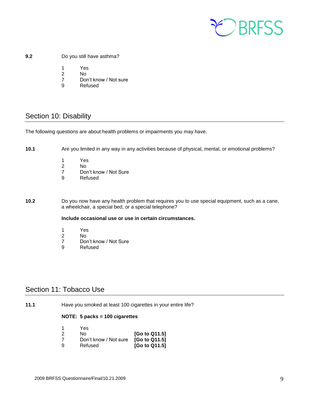

#### **9.2** Do you still have asthma?

- 1 Yes
- 2 No
- 7 Don't know / Not sure
- 9 Refused

## <span id="page-8-0"></span>Section 10: Disability

The following questions are about health problems or impairments you may have.

**10.1** Are you limited in any way in any activities because of physical, mental, or emotional problems?

- 1 Yes
- 2 No<br>7 Dor
- 7 Don't know / Not Sure<br>9 Refused
- **Refused**

**10.2** Do you now have any health problem that requires you to use special equipment, such as a cane, a wheelchair, a special bed, or a special telephone?

#### **Include occasional use or use in certain circumstances.**

- 1 Yes
- 2 No<br>7 Dor
- 7 Don't know / Not Sure<br>9 Refused
- Refused

## <span id="page-8-1"></span>Section 11: Tobacco Use

**11.1** Have you smoked at least 100 cigarettes in your entire life?

#### **NOTE: 5 packs = 100 cigarettes**

| -1 | Yes                   |               |
|----|-----------------------|---------------|
| 2  | N٥                    | [Go to Q11.5] |
| 7  | Don't know / Not sure | [Go to Q11.5] |
| 9  | Refused               | [Go to Q11.5] |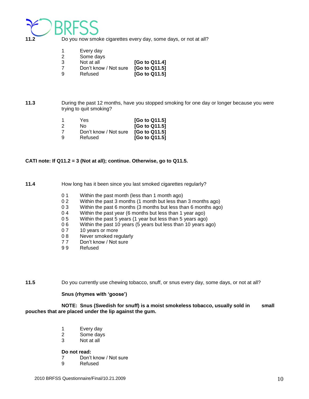

**11.2** Do you now smoke cigarettes every day, some days, or not at all?

|    | Every day             |               |
|----|-----------------------|---------------|
| -2 | Some days             |               |
| 3  | Not at all            | [Go to Q11.4] |
|    | Don't know / Not sure | [Go to Q11.5] |
| 9  | Refused               | [Go to Q11.5] |

**11.3** During the past 12 months, have you stopped smoking for one day or longer because you were trying to quit smoking?

| 1 | Yes                   | [Go to Q11.5] |
|---|-----------------------|---------------|
| 2 | No.                   | [Go to Q11.5] |
| 7 | Don't know / Not sure | [Go to Q11.5] |
| 9 | Refused               | [Go to Q11.5] |

#### **CATI note: If Q11.2 = 3 (Not at all); continue. Otherwise, go to Q11.5.**

**11.4** How long has it been since you last smoked cigarettes regularly?

- 0 1 Within the past month (less than 1 month ago)
- 0 2 Within the past 3 months (1 month but less than 3 months ago)
- 0 3 Within the past 6 months (3 months but less than 6 months ago)
- 0 4 Within the past year (6 months but less than 1 year ago)
- 0 5 Within the past 5 years (1 year but less than 5 years ago)
- 0 6 Within the past 10 years (5 years but less than 10 years ago)
- 0 7 10 years or more
- 0 8 Never smoked regularly
- 7 7 Don't know / Not sure
- 9 9 Refused

**11.5** Do you currently use chewing tobacco, snuff, or snus every day, some days, or not at all?

#### **Snus (rhymes with 'goose')**

**NOTE: Snus (Swedish for snuff) is a moist smokeless tobacco, usually sold in small pouches that are placed under the lip against the gum.** 

- 1 Every day
- 2 Some days
- 3 Not at all

#### **Do not read:**

- 7 Don't know / Not sure<br>9 Refused
- **Refused**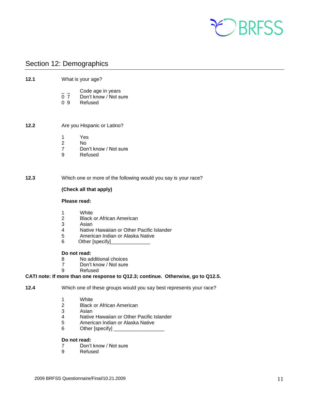

## <span id="page-10-0"></span>Section 12: Demographics

| 12.1 | What is your age?                                                  |                                                                                                                                                                              |
|------|--------------------------------------------------------------------|------------------------------------------------------------------------------------------------------------------------------------------------------------------------------|
|      | $\overline{0}$ $\overline{7}$<br>0.9                               | Code age in years<br>Don't know / Not sure<br>Refused                                                                                                                        |
| 12.2 |                                                                    | Are you Hispanic or Latino?                                                                                                                                                  |
|      | 1<br>$\overline{2}$<br>$\overline{7}$<br>9                         | Yes<br>No.<br>Don't know / Not sure<br>Refused                                                                                                                               |
| 12.3 |                                                                    | Which one or more of the following would you say is your race?                                                                                                               |
|      |                                                                    | (Check all that apply)                                                                                                                                                       |
|      | Please read:                                                       |                                                                                                                                                                              |
|      | 1<br>$\overline{2}$<br>3<br>4<br>5<br>6                            | White<br><b>Black or African American</b><br>Asian<br>Native Hawaiian or Other Pacific Islander<br>American Indian or Alaska Native<br>Other [specify]                       |
|      | Do not read:<br>8<br>$\overline{7}$<br>9                           | No additional choices<br>Don't know / Not sure<br>Refused                                                                                                                    |
|      |                                                                    | CATI note: If more than one response to Q12.3; continue. Otherwise, go to Q12.5.                                                                                             |
| 12.4 | Which one of these groups would you say best represents your race? |                                                                                                                                                                              |
|      | 1<br>2<br>3<br>4<br>5<br>6                                         | White<br><b>Black or African American</b><br>Asian<br>Native Hawaiian or Other Pacific Islander<br>American Indian or Alaska Native<br>Other [specify] _____________________ |
|      | Do not read:                                                       |                                                                                                                                                                              |
|      | 7                                                                  | Don't know / Not sure                                                                                                                                                        |

9 Refused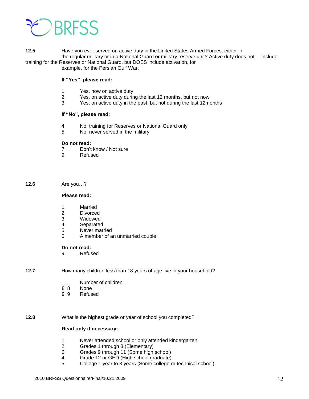

**12.5** Have you ever served on active duty in the United States Armed Forces, either in the regular military or in a National Guard or military reserve unit? Active duty does not include

training for the Reserves or National Guard, but DOES include activation, for example, for the Persian Gulf War.

#### **If "Yes", please read:**

- 1 Yes, now on active duty
- 2 Yes, on active duty during the last 12 months, but not now
- 3 Yes, on active duty in the past, but not during the last 12months

#### **If "No", please read:**

- 4 No, training for Reserves or National Guard only
- 5 No, never served in the military

#### **Do not read:**

- 7 Don't know / Not sure<br>9 Refused
	- **Refused**

#### **12.6** Are you…?

#### **Please read:**

- 1 Married
- 2 Divorced
- 3 Widowed
- 4 Separated
- 5 Never married
- 6 A member of an unmarried couple

#### **Do not read:**

9 Refused

#### **12.7** How many children less than 18 years of age live in your household?

- $\frac{1}{8}$   $\frac{1}{8}$  Number of children
- **None**
- 9 9 Refused

**12.8** What is the highest grade or year of school you completed?

#### **Read only if necessary:**

- 1 Never attended school or only attended kindergarten
- 2 Grades 1 through 8 (Elementary)
- 3 Grades 9 through 11 (Some high school)
- 4 Grade 12 or GED (High school graduate)
- 5 College 1 year to 3 years (Some college or technical school)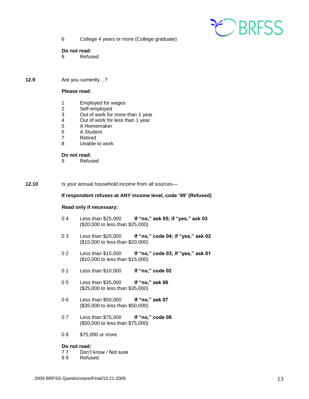

6 College 4 years or more (College graduate)

#### **Do not read:**

- 9 Refused
- **12.9** Are you currently…?

#### **Please read:**

- 1 Employed for wages<br>2 Self-employed
- Self-employed
- 3 Out of work for more than 1 year<br>4 Out of work for less than 1 year
- 4 Out of work for less than 1 year<br>5 A Homemaker
- 5 A Homemaker
- 6 A Student
- 7 Retired
- 8 Unable to work

#### **Do not read:**

9 Refused

**12.10** Is your annual household income from all sources—

#### **If respondent refuses at ANY income level, code '99' (Refused)**

#### **Read only if necessary:**

- 0 4 Less than \$25,000 **If "no," ask 05; if "yes," ask 03** (\$20,000 to less than \$25,000)
- 0 3 Less than \$20,000 **If "no," code 04; if "yes," ask 02** (\$15,000 to less than \$20,000)
- 0 2 Less than \$15,000 **If "no," code 03; if "yes," ask 01** (\$10,000 to less than \$15,000)
- 0 1 Less than \$10,000 **If "no," code 02**
- 0 5 Less than \$35,000 **If "no," ask 06** (\$25,000 to less than \$35,000)
- 0 6 Less than \$50,000 **If "no," ask 07** (\$35,000 to less than \$50,000)
- 0 7 Less than \$75,000 **If "no," code 08** (\$50,000 to less than \$75,000)
- 0 8 \$75,000 or more

#### **Do not read:**

- 7 7 Don't know / Not sure
- 9 9 Refused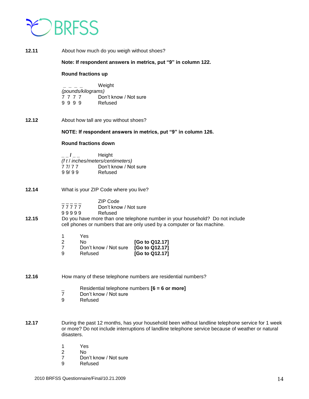

| 12.11 | About how much do you weigh without shoes?                                                                                                                                                                                       |  |
|-------|----------------------------------------------------------------------------------------------------------------------------------------------------------------------------------------------------------------------------------|--|
|       | Note: If respondent answers in metrics, put "9" in column 122.                                                                                                                                                                   |  |
|       | <b>Round fractions up</b>                                                                                                                                                                                                        |  |
|       | Weight<br>(pounds/kilograms)<br>7777<br>Don't know / Not sure<br>9999<br>Refused                                                                                                                                                 |  |
| 12.12 | About how tall are you without shoes?                                                                                                                                                                                            |  |
|       | NOTE: If respondent answers in metrics, put "9" in column 126.                                                                                                                                                                   |  |
|       | <b>Round fractions down</b>                                                                                                                                                                                                      |  |
|       | Height<br>$\frac{1}{2}$<br>(f t / inches/meters/centimeters)<br>Don't know / Not sure<br>77/77<br>99/99<br>Refused                                                                                                               |  |
| 12.14 | What is your ZIP Code where you live?                                                                                                                                                                                            |  |
| 12.15 | <b>ZIP Code</b><br>77777<br>Don't know / Not sure<br>99999<br>Refused<br>Do you have more than one telephone number in your household? Do not include<br>cell phones or numbers that are only used by a computer or fax machine. |  |
|       | Yes<br>1.<br>$\overline{2}$<br>No<br>[Go to Q12.17]<br>$\overline{7}$<br>[Go to Q12.17]<br>Don't know / Not sure<br>9<br>[Go to Q12.17]<br>Refused                                                                               |  |
| 12.16 | How many of these telephone numbers are residential numbers?                                                                                                                                                                     |  |
|       | Residential telephone numbers [6 = 6 or more]<br>$\overline{7}$<br>Don't know / Not sure<br>9<br>Refused                                                                                                                         |  |
| 12.17 | During the past 12 months, has your household been without landline telephone service for 1 week<br>or more? Do not include interruptions of landline telephone service because of weather or natural<br>disasters.              |  |
|       | Yes<br>1<br>$\boldsymbol{2}$<br>No.<br>7<br>Don't know / Not sure<br>9<br>Refused                                                                                                                                                |  |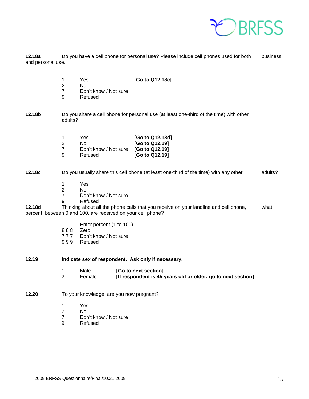

**12.18a** Do you have a cell phone for personal use? Please include cell phones used for both business and personal use.

- 1 Yes **[Go to Q12.18c]**
- 2 No
- 7 Don't know / Not sure
- 9 Refused

**12.18b** Do you share a cell phone for personal use (at least one-third of the time) with other adults?

| 1 | Yes                   | [Go to Q12.18d] |
|---|-----------------------|-----------------|
| 2 | N٥                    | [Go to Q12.19]  |
| 7 | Don't know / Not sure | [Go to Q12.19]  |
| 9 | Refused               | [Go to Q12.19]  |

**12.18c** Do you usually share this cell phone (at least one-third of the time) with any other adults?

- 
- 1 Yes N<sub>o</sub>
- 7 Don't know / Not sure
- 9 Refused

**12.18d** Thinking about all the phone calls that you receive on your landline and cell phone, what percent, between 0 and 100, are received on your cell phone?

- Enter percent (1 to 100)
- $888$  Zero
- 7 7 7 Don't know / Not sure
- 9 9 9 Refused
- **12.19 Indicate sex of respondent. Ask only if necessary.**
	- 1 Male **[Go to next section]** 2 Female **[If respondent is 45 years old or older, go to next section]**
- **12.20** To your knowledge, are you now pregnant?
	- 1 Yes
	- 2 No
	- 7 Don't know / Not sure
	- 9 Refused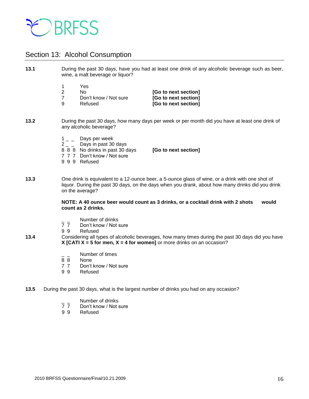

## <span id="page-15-0"></span>Section 13: Alcohol Consumption

**13.1** During the past 30 days, have you had at least one drink of any alcoholic beverage such as beer, wine, a malt beverage or liquor? 1 Yes 2 No **[Go to next section]** 7 Don't know / Not sure **[Go to next section]** 9 Refused **[Go to next section] 13.2** During the past 30 days, how many days per week or per month did you have at least one drink of any alcoholic beverage?  $1_{-}$  Days per week  $2 -$  Days in past 30 days 8 8 8 No drinks in past 30 days **[Go to next section]** 7 7 7 Don't know / Not sure 9 9 9 Refused **13.3** One drink is equivalent to a 12-ounce beer, a 5-ounce glass of wine, or a drink with one shot of liquor. During the past 30 days, on the days when you drank, about how many drinks did you drink on the average? **NOTE: A 40 ounce beer would count as 3 drinks, or a cocktail drink with 2 shots would count as 2 drinks.**  - Number of drinks<br>7 7 Don't know / Not s Don't know / Not sure 9 9 Refused **13.4** Considering all types of alcoholic beverages, how many times during the past 30 days did you have **X [CATI X = 5 for men, X = 4 for women]** or more drinks on an occasion?  $\frac{1}{8}$   $\frac{1}{8}$  Number of times 8 8 None<br>7 7 Don't Don't know / Not sure

9 9 Refused

**13.5** During the past 30 days, what is the largest number of drinks you had on any occasion?

- Number of drinks<br>7 7 Don't know / Not s
- 7 7 Don't know / Not sure<br>9 9 Refused
- **Refused**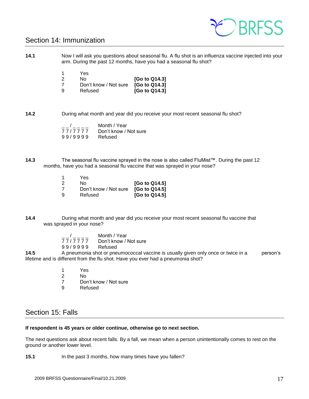

## <span id="page-16-0"></span>Section 14: Immunization

**14.1** Now I will ask you questions about seasonal flu. A flu shot is an influenza vaccine injected into your arm. During the past 12 months, have you had a seasonal flu shot?

| 1 | Yes                   |               |
|---|-----------------------|---------------|
| 2 | Nο                    | [Go to Q14.3] |
| 7 | Don't know / Not sure | [Go to Q14.3] |
| 9 | Refused               | [Go to Q14.3] |

**14.2** During what month and year did you receive your most recent seasonal flu shot?

| $\sqrt{1}$ | Month / Year          |
|------------|-----------------------|
| 77/7777    | Don't know / Not sure |
| 99/9999    | Refused               |

**14.3** The seasonal flu vaccine sprayed in the nose is also called FluMist™. During the past 12 months, have you had a seasonal flu vaccine that was sprayed in your nose?

|   | Yes                   |               |
|---|-----------------------|---------------|
| 2 | N٥                    | [Go to Q14.5] |
| 7 | Don't know / Not sure | [Go to Q14.5] |
| 9 | Refused               | [Go to Q14.5] |

**14.4** During what month and year did you receive your most recent seasonal flu vaccine that was sprayed in your nose?

> $\frac{1}{7777777}$  Month / Year Don't know / Not sure 9 9 / 9 9 9 9 Refused

**14.5** A pneumonia shot or pneumococcal vaccine is usually given only once or twice in a person's lifetime and is different from the flu shot. Have you ever had a pneumonia shot?

- 1 Yes
- 2 No
- 7 Don't know / Not sure
- 9 Refused

## <span id="page-16-1"></span>Section 15: Falls

#### **If respondent is 45 years or older continue, otherwise go to next section.**

The next questions ask about recent falls. By a fall, we mean when a person unintentionally comes to rest on the ground or another lower level.

**15.1** In the past 3 months, how many times have you fallen?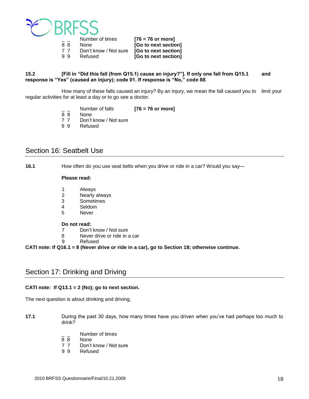

|    | Number of times       | $[76 = 76$ or more]  |
|----|-----------------------|----------------------|
| 88 | None                  | [Go to next section] |
| 77 | Don't know / Not sure | [Go to next section] |
| 99 | Refused               | [Go to next section] |

#### **15.2 [Fill in "Did this fall (from Q15.1) cause an injury?"]. If only one fall from Q15.1 and response is "Yes" (caused an injury); code 01. If response is "No," code 88**.

How many of these falls caused an injury? By an injury, we mean the fall caused you to limit your regular activities for at least a day or to go see a doctor.

- \_ \_ Number of falls **[76 = 76 or more]**
- **None**
- 7 7 Don't know / Not sure
- 9 9 Refused

## <span id="page-17-0"></span>Section 16: Seatbelt Use

**16.1** How often do you use seat belts when you drive or ride in a car? Would you say—

#### **Please read:**

- 1 Always
- 2 Nearly always
- 3 Sometimes
- 4 Seldom<br>5 Never
- **Never**

#### **Do not read:**

- 7 Don't know / Not sure
- 8 Never drive or ride in a car
- 9 Refused

**CATI note: If Q16.1 = 8 (Never drive or ride in a car), go to Section 18; otherwise continue.**

## <span id="page-17-1"></span>Section 17: Drinking and Driving

#### **CATI note: If Q13.1 = 2 (No); go to next section.**

The next question is about drinking and driving.

- **17.1** During the past 30 days, how many times have you driven when you've had perhaps too much to drink?
	- Number of times
	- 8 8 None
	- 7 7 Don't know / Not sure
	- 9 9 Refused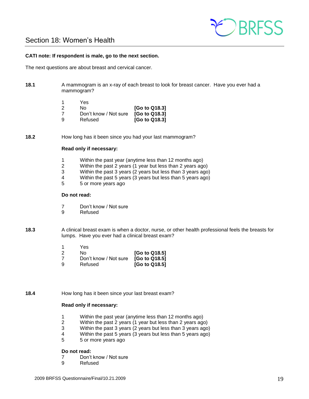

## <span id="page-18-0"></span>Section 18: Women's Health

#### **CATI note: If respondent is male, go to the next section.**

The next questions are about breast and cervical cancer.

**18.1** A mammogram is an x-ray of each breast to look for breast cancer. Have you ever had a mammogram?

|   | Yes                   |               |
|---|-----------------------|---------------|
| 2 | N٥                    | [Go to Q18.3] |
| 7 | Don't know / Not sure | [Go to Q18.3] |
| 9 | Refused               | [Go to Q18.3] |

**18.2** How long has it been since you had your last mammogram?

#### **Read only if necessary:**

- 1 Within the past year (anytime less than 12 months ago)
- 2 Within the past 2 years (1 year but less than 2 years ago)
- 3 Within the past 3 years (2 years but less than 3 years ago)
- 4 Within the past 5 years (3 years but less than 5 years ago)  $5 5$  or more vears ago
- 5 5 or more years ago

#### **Do not read:**

- 7 Don't know / Not sure
- 9 Refused
- **18.3** A clinical breast exam is when a doctor, nurse, or other health professional feels the breasts for lumps. Have you ever had a clinical breast exam?

|          | Yes                   |               |
|----------|-----------------------|---------------|
| 2        | N٥                    | [Go to Q18.5] |
| 7        | Don't know / Not sure | [Go to Q18.5] |
| <b>g</b> | Refused               | [Go to Q18.5] |

**18.4** How long has it been since your last breast exam?

#### **Read only if necessary:**

- 1 Within the past year (anytime less than 12 months ago)
- 2 Within the past 2 years (1 year but less than 2 years ago)
- 3 Within the past 3 years (2 years but less than 3 years ago)
- 4 Within the past 5 years (3 years but less than 5 years ago)
- 5 5 or more years ago

#### **Do not read:**

- 7 Don't know / Not sure<br>9 Refused
	- **Refused**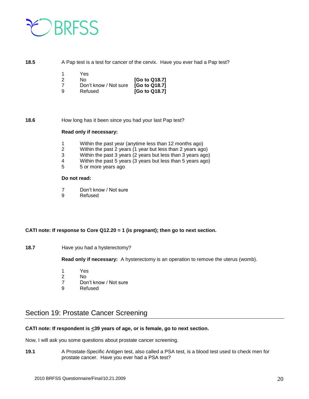

#### **18.5** A Pap test is a test for cancer of the cervix. Have you ever had a Pap test?

| -1       | Yes                   |               |
|----------|-----------------------|---------------|
| 2        | N٥                    | [Go to Q18.7] |
| 7        | Don't know / Not sure | [Go to Q18.7] |
| <b>g</b> | Refused               | [Go to Q18.7] |

#### **18.6** How long has it been since you had your last Pap test?

#### **Read only if necessary:**

- 1 Within the past year (anytime less than 12 months ago)
- 2 Within the past 2 years (1 year but less than 2 years ago)
- 3 Within the past 3 years (2 years but less than 3 years ago)
- 4 Within the past 5 years (3 years but less than 5 years ago)
- 5 5 or more years ago

#### **Do not read:**

- 7 Don't know / Not sure
- 9 Refused

#### **CATI note: If response to Core Q12.20 = 1 (is pregnant); then go to next section.**

**18.7 Have you had a hysterectomy?** 

**Read only if necessary:** A hysterectomy is an operation to remove the uterus (womb).

- 1 Yes
- 2 No
- 7 Don't know / Not sure<br>9 Refused
- **Refused**

## <span id="page-19-0"></span>Section 19: Prostate Cancer Screening

#### CATI note: If respondent is <39 years of age, or is female, go to next section.

Now, I will ask you some questions about prostate cancer screening.

**19.1** A Prostate-Specific Antigen test, also called a PSA test, is a blood test used to check men for prostate cancer. Have you ever had a PSA test?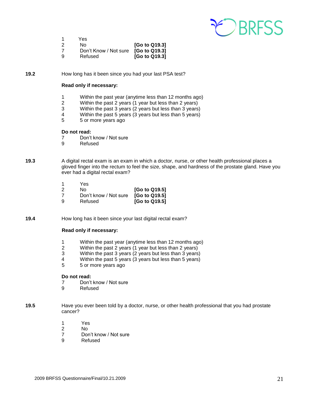

1 Yes 2 No **[Go to Q19.3]** 7 Don't Know / Not sure **[Go to Q19.3]** 9 Refused **[Go to Q19.3]**

**19.2** How long has it been since you had your last PSA test?

#### **Read only if necessary:**

- 1 Within the past year (anytime less than 12 months ago)
- 2 Within the past 2 years (1 year but less than 2 years)<br>3 Within the past 3 years (2 years but less than 3 years)
- Within the past 3 years (2 years but less than 3 years)
- 4 Within the past 5 years (3 years but less than 5 years)
- 5 5 or more years ago

#### **Do not read:**

- 7 Don't know / Not sure
- 9 Refused
- **19.3** A digital rectal exam is an exam in which a doctor, nurse, or other health professional places a gloved finger into the rectum to feel the size, shape, and hardness of the prostate gland. Have you ever had a digital rectal exam?

| -1 | Yes                   |               |
|----|-----------------------|---------------|
| 2  | N٥                    | [Go to Q19.5] |
| 7  | Don't know / Not sure | [Go to Q19.5] |
| 9  | Refused               | [Go to Q19.5] |

**19.4** How long has it been since your last digital rectal exam?

#### **Read only if necessary:**

- 1 Within the past year (anytime less than 12 months ago)
- 2 Within the past 2 years (1 year but less than 2 years)
- 3 Within the past 3 years (2 years but less than 3 years)
- 4 Within the past 5 years (3 years but less than 5 years)
- 5 5 or more years ago

#### **Do not read:**

- 7 Don't know / Not sure
- 9 Refused
- **19.5** Have you ever been told by a doctor, nurse, or other health professional that you had prostate cancer?
	- 1 Yes
	- 2 No
	- 7 Don't know / Not sure
	- 9 Refused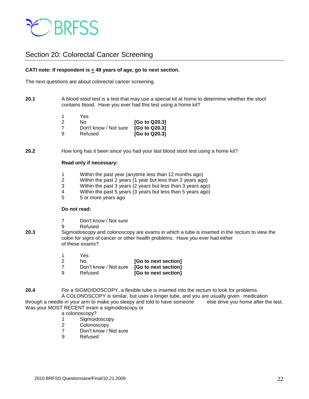

## <span id="page-21-0"></span>Section 20: Colorectal Cancer Screening

#### **CATI note: If respondent is < 49 years of age, go to next section.**

The next questions are about colorectal cancer screening.

**20.1** A blood stool test is a test that may use a special kit at home to determine whether the stool contains blood. Have you ever had this test using a home kit?

| -1 | Yes                   |               |
|----|-----------------------|---------------|
| 2  | N٥                    | [Go to Q20.3] |
| 7  | Don't know / Not sure | [Go to Q20.3] |
| 9  | Refused               | [Go to Q20.3] |

**20.2** How long has it been since you had your last blood stool test using a home kit?

#### **Read only if necessary:**

- 1 Within the past year (anytime less than 12 months ago)
- 2 Within the past 2 years (1 year but less than 2 years ago)
- 3 Within the past 3 years (2 years but less than 3 years ago)
- 4 Within the past 5 years (3 years but less than 5 years ago)
- 5 5 or more years ago

#### **Do not read:**

- 7 Don't know / Not sure
- 9 Refused
- **20.3** Sigmoidoscopy and colonoscopy are exams in which a tube is inserted in the rectum to view the colon for signs of cancer or other health problems. Have you ever had either of these exams?

|          | Yes                   |                      |
|----------|-----------------------|----------------------|
| 2        | No.                   | [Go to next section] |
| 7        | Don't know / Not sure | [Go to next section] |
| <b>q</b> | Refused               | [Go to next section] |

**20.4** For a SIGMOIDOSCOPY, a flexible tube is inserted into the rectum to look for problems. A COLONOSCOPY is similar, but uses a longer tube, and you are usually given medication

through a needle in your arm to make you sleepy and told to have someone else drive you home after the test. Was your MOST RECENT exam a sigmoidoscopy or

- a colonoscopy?
- 1 Sigmoidoscopy
- 2 Colonoscopy
- 7 Don't know / Not sure
- 9 Refused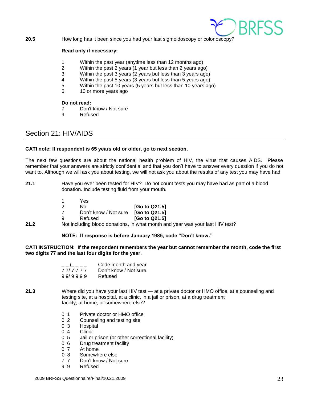

**20.5** How long has it been since you had your last sigmoidoscopy or colonoscopy?

#### **Read only if necessary:**

- 1 Within the past year (anytime less than 12 months ago)
- 2 Within the past 2 years (1 year but less than 2 years ago)
- 3 Within the past 3 years (2 years but less than 3 years ago)
- 4 Within the past 5 years (3 years but less than 5 years ago)
- 5 Within the past 10 years (5 years but less than 10 years ago)
- 6 10 or more years ago

#### **Do not read:**

- 7 Don't know / Not sure
- 9 Refused

## <span id="page-22-0"></span>Section 21: HIV/AIDS

#### **CATI note: If respondent is 65 years old or older, go to next section.**

The next few questions are about the national health problem of HIV, the virus that causes AIDS. Please remember that your answers are strictly confidential and that you don't have to answer every question if you do not want to. Although we will ask you about testing, we will not ask you about the results of any test you may have had.

**21.1** Have you ever been tested for HIV? Do not count tests you may have had as part of a blood donation. Include testing fluid from your mouth.

| -1 | Yes                   |               |
|----|-----------------------|---------------|
| 2  | N٥                    | [Go to Q21.5] |
| 7  | Don't know / Not sure | [Go to Q21.5] |
| 9  | Refused               | [Go to Q21.5] |

**21.2** Not including blood donations, in what month and year was your last HIV test?

#### **NOTE: If response is before January 1985, code "Don't know."**

**CATI INSTRUCTION: If the respondent remembers the year but cannot remember the month, code the first two digits 77 and the last four digits for the year.** 

| $\mathbf{I}$ and $\mathbf{I}$ | Code month and year   |
|-------------------------------|-----------------------|
| 7 7 7 7 7 7                   | Don't know / Not sure |
| 99/9999                       | Refused               |

- **21.3** Where did you have your last HIV test at a private doctor or HMO office, at a counseling and testing site, at a hospital, at a clinic, in a jail or prison, at a drug treatment facility, at home, or somewhere else?
	- 0 1 Private doctor or HMO office
	- 0 2 Counseling and testing site
	- 0 3 Hospital
	- 0 4 Clinic
	- 0 5 Jail or prison (or other correctional facility)
	- 0 6 Drug treatment facility
	- 0 7 At home
	- 0 8 Somewhere else
	- 7 7 Don't know / Not sure
	- 9 9 Refused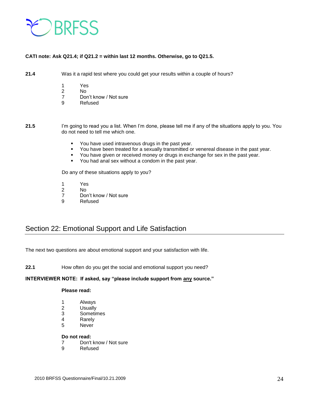

#### **CATI note: Ask Q21.4; if Q21.2 = within last 12 months. Otherwise, go to Q21.5.**

**21.4** Was it a rapid test where you could get your results within a couple of hours?

- 
- 1 Yes<br>2 No  $No$
- 7 Don't know / Not sure
- 9 Refused

**21.5** I'm going to read you a list. When I'm done, please tell me if any of the situations apply to you. You do not need to tell me which one.

- You have used intravenous drugs in the past year.
- You have been treated for a sexually transmitted or venereal disease in the past year.
- You have given or received money or drugs in exchange for sex in the past year.
- You had anal sex without a condom in the past year.

Do any of these situations apply to you?

- 1 Yes
- 2 No
- 7 Don't know / Not sure
- 9 Refused

## <span id="page-23-0"></span>Section 22: Emotional Support and Life Satisfaction

The next two questions are about emotional support and your satisfaction with life.

**22.1** How often do you get the social and emotional support you need?

#### **INTERVIEWER NOTE: If asked, say "please include support from any source."**

#### **Please read:**

- 1 Always
- 2 Usually
- 3 Sometimes
- 4 Rarely
- 5 Never

#### **Do not read:**

- 7 Don't know / Not sure
- 9 Refused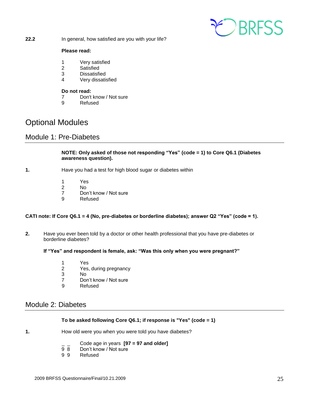

**22.2** In general, how satisfied are you with your life?

#### **Please read:**

- 1 Very satisfied
- 2 Satisfied
- 3 Dissatisfied
- 4 Very dissatisfied

#### **Do not read:**

- 7 Don't know / Not sure
- 9 Refused

## Optional Modules

## <span id="page-24-0"></span>Module 1: Pre-Diabetes

#### **NOTE: Only asked of those not responding "Yes" (code = 1) to Core Q6.1 (Diabetes awareness question).**

- **1.** Have you had a test for high blood sugar or diabetes within
	- 1 Yes
	- 2 No
	- 7 Don't know / Not sure
	- 9 Refused

#### **CATI note: If Core Q6.1 = 4 (No, pre-diabetes or borderline diabetes); answer Q2 "Yes" (code = 1).**

**2.** Have you ever been told by a doctor or other health professional that you have pre-diabetes or borderline diabetes?

#### **If "Yes" and respondent is female, ask: "Was this only when you were pregnant?"**

- 1 Yes<br>2 Yes
- 2 Yes, during pregnancy<br>3 No
- N<sub>o</sub>
- 7 Don't know / Not sure
- 9 Refused

## <span id="page-24-1"></span>Module 2: Diabetes

#### **To be asked following Core Q6.1; if response is "Yes" (code = 1)**

- **1.** How old were you when you were told you have diabetes?
	- \_ \_ Code age in years **[97 = 97 and older]**
	- 9 8 Don't know / Not sure<br>9 9 Refused
	- **Refused**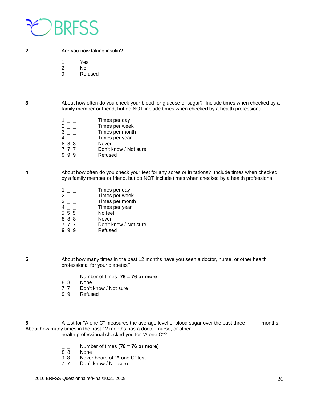

**2.** Are you now taking insulin?

1 Yes

- 2 No
- 9 Refused

**3.** About how often do you check your blood for glucose or sugar? Include times when checked by a family member or friend, but do NOT include times when checked by a health professional.

> $1 -$  Times per day 2 \_ \_ Times per week 3 \_ \_ Times per month 4 \_ \_ Times per year  $\begin{array}{ccc} 4 & _{\rule{1pt}{1.5mm}} & _{\rule{1pt}{1.5mm}} & _{\rule{1pt}{1.5mm}} & _{\rule{1pt}{1.5mm}} & _{\rule{1pt}{1.5mm}} & _{\rule{1pt}{1.5mm}} & _{\rule{1pt}{1.5mm}} & _{\rule{1pt}{1.5mm}} & _{\rule{1pt}{1.5mm}} & _{\rule{1pt}{1.5mm}} & _{\rule{1pt}{1.5mm}} & _{\rule{1pt}{1.5mm}} & _{\rule{1pt}{1.5mm}} & _{\rule{1pt}{1.5mm}} & _{\rule{1pt}{1.5mm}} & _{\rule{1pt}{1.5mm}} & _{\$ 7 7 7 Don't know / Not sure<br>9 9 9 Refused **Refused**

**4.** About how often do you check your feet for any sores or irritations? Include times when checked by a family member or friend, but do NOT include times when checked by a health professional.

| Times per week               |  |
|------------------------------|--|
|                              |  |
| Times per month              |  |
| Times per year               |  |
| No feet<br>555               |  |
| 888<br><b>Never</b>          |  |
| Don't know / Not sure<br>777 |  |
| Refused                      |  |

- **5.** About how many times in the past 12 months have you seen a doctor, nurse, or other health professional for your diabetes?
	- $\frac{1}{8}$   $\frac{1}{8}$  Number of times **[76 = 76 or more]**
	- **None**
	- 7 7 Don't know / Not sure
	- 9 9 Refused

**6.** A test for "A one C" measures the average level of blood sugar over the past three months. About how many times in the past 12 months has a doctor, nurse, or other health professional checked you for "A one C"?

- \_ \_ Number of times **[76 = 76 or more]**
- **None**
- 9 8 Never heard of "A one C" test
- 7 7 Don't know / Not sure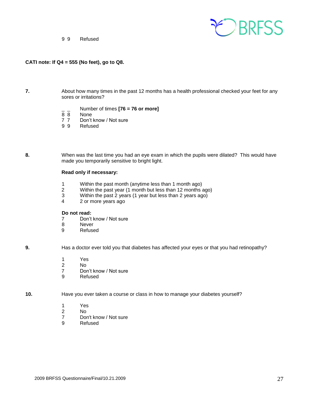

9 9 Refused

#### **CATI note: If Q4 = 555 (No feet), go to Q8.**

- **7.** About how many times in the past 12 months has a health professional checked your feet for any sores or irritations?
	- \_ \_ Number of times **[76 = 76 or more]**
	- **None**
	- 7 7 Don't know / Not sure<br>9 9 Refused
	- **Refused**
- **8.** When was the last time you had an eye exam in which the pupils were dilated? This would have made you temporarily sensitive to bright light.

#### **Read only if necessary:**

- 1 Within the past month (anytime less than 1 month ago)
- Within the past year (1 month but less than 12 months ago)
- 3 Within the past 2 years (1 year but less than 2 years ago)
- 4 2 or more years ago

#### **Do not read:**

- 7 Don't know / Not sure
- 8 Never
- 9 Refused

**9.** Has a doctor ever told you that diabetes has affected your eyes or that you had retinopathy?

- 1 Yes
- 2 No
- 7 Don't know / Not sure
- 9 Refused

**10.** Have you ever taken a course or class in how to manage your diabetes yourself?

- 1 Yes
- 2 No
- 7 Don't know / Not sure
- 9 Refused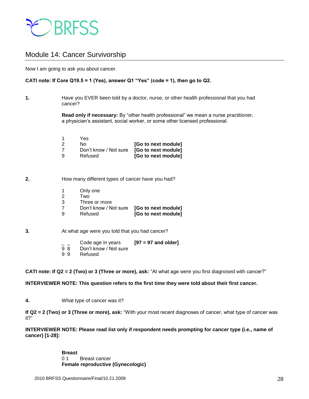

## <span id="page-27-0"></span>Module 14: Cancer Survivorship

Now I am going to ask you about cancer.

#### **CATI note: If Core Q19.5 = 1 (Yes), answer Q1 "Yes" (code = 1), then go to Q2.**

**1.** Have you EVER been told by a doctor, nurse, or other health professional that you had cancer?

> **Read only if necessary:** By "other health professional" we mean a nurse practitioner, a physician's assistant, social worker, or some other licensed professional.

| Yes |         |                                           |
|-----|---------|-------------------------------------------|
| No. |         | [Go to next module]                       |
|     |         | Don't know / Not sure [Go to next module] |
| a   | Refused | [Go to next module]                       |

#### **2.** How many different types of cancer have you had?

- 1 Only one
- 2 Two
- 3 Three or more
- 7 Don't know / Not sure **[Go to next module] [Go to next module]**
- **3.** At what age were you told that you had cancer?
	- \_ \_ Code age in years **[97 = 97 and older]**  Don't know / Not sure
	- 9 9 Refused

**CATI note: If Q2 = 2 (Two) or 3 (Three or more), ask:** "At what age were you first diagnosed with cancer?"

**INTERVIEWER NOTE: This question refers to the first time they were told about their first cancer.** 

**4.** What type of cancer was it?

**If Q2 = 2 (Two) or 3 (Three or more), ask:** "With your most recent diagnoses of cancer, what type of cancer was it?"

**INTERVIEWER NOTE: Please read list only if respondent needs prompting for cancer type (i.e., name of cancer) [1-28]:** 

> **Breast**  0 1 Breast cancer **Female reproductive (Gynecologic)**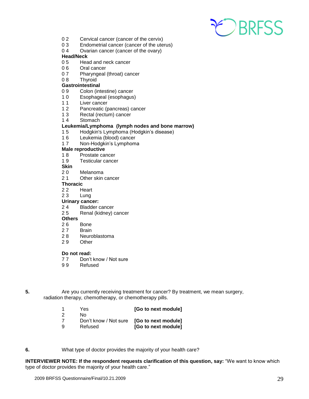

- 0 2 Cervical cancer (cancer of the cervix)
- 0 3 Endometrial cancer (cancer of the uterus)
- 0 4 Ovarian cancer (cancer of the ovary)

#### **Head/Neck**

- 05 Head and neck cancer
- 0 6 Oral cancer
- 07 Pharyngeal (throat) cancer
- 08 Thyroid

#### **Gastrointestinal**

- 0 9 Colon (intestine) cancer
- 1 0 Esophageal (esophagus)
- 11 Liver cancer<br>12 Pancreatic (r
- Pancreatic (pancreas) cancer
- 1 3 Rectal (rectum) cancer
- 1 4 Stomach

#### **Leukemia/Lymphoma (lymph nodes and bone marrow)**

- 15 Hodgkin's Lymphoma (Hodgkin's disease)<br>16 Leukemia (blood) cancer
- Leukemia (blood) cancer
- 1 7 Non-Hodgkin's Lymphoma

#### **Male reproductive**

- 1 8 Prostate cancer
- 1 9 Testicular cancer
- **Skin**<br>20
- **Melanoma**
- 2 1 Other skin cancer

#### **Thoracic**

- 22 Heart
- 23 Lung

#### **Urinary cancer:**

- 2 4 Bladder cancer
- 2 5 Renal (kidney) cancer

#### **Others**

- 2 6 Bone
- 27 Brain
- 2 8 Neuroblastoma
- 2 9 Other

#### **Do not read:**

- 7 7 Don't know / Not sure
- 9 9 Refused
- 
- **5.** Are you currently receiving treatment for cancer? By treatment, we mean surgery, radiation therapy, chemotherapy, or chemotherapy pills.
	- 1 Yes **[Go to next module]**
- 2 No
	- 7 Don't know / Not sure **[Go to next module]**
	- 9 Refused **[Go to next module]**
- **6.** What type of doctor provides the majority of your health care?

**INTERVIEWER NOTE: If the respondent requests clarification of this question, say: "We want to know which** type of doctor provides the majority of your health care."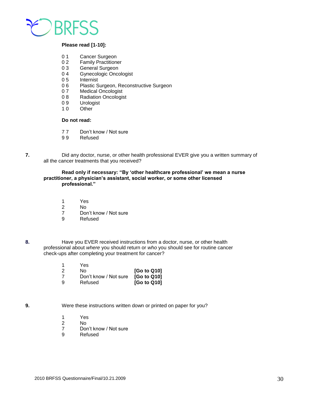

#### **Please read [1-10]:**

- 0 1 Cancer Surgeon
- 0 2 Family Practitioner
- 0 3 General Surgeon
- 0 4 Gynecologic Oncologist
- 05 Internist
- 0 6 Plastic Surgeon, Reconstructive Surgeon<br>0 7 Medical Oncologist
- Medical Oncologist
- 0 8 Radiation Oncologist<br>0 9 Urologist
- 0 9 Urologist<br>1 0 Other
- Other<sup>-</sup>

#### **Do not read:**

- 7 7 Don't know / Not sure
- 9 9 Refused
- **7.** Did any doctor, nurse, or other health professional EVER give you a written summary of all the cancer treatments that you received?

#### **Read only if necessary: "By 'other healthcare professional' we mean a nurse practitioner, a physician's assistant, social worker, or some other licensed professional."**

- 1 Yes
- 2 No
	- 7 Don't know / Not sure
	- 9 Refused
- **8.** Have you EVER received instructions from a doctor, nurse, or other health professional about *where* you should return or *who* you should see for routine cancer check-ups after completing your treatment for cancer?

|   | Yes                               |             |
|---|-----------------------------------|-------------|
|   | Nο                                | [Go to Q10] |
|   | Don't know / Not sure [Go to Q10] |             |
| a | Refused                           | [Go to Q10] |

**9.** Were these instructions written down or printed on paper for you?

- 1 Yes
- 2 No
	- 7 Don't know / Not sure
	- 9 Refused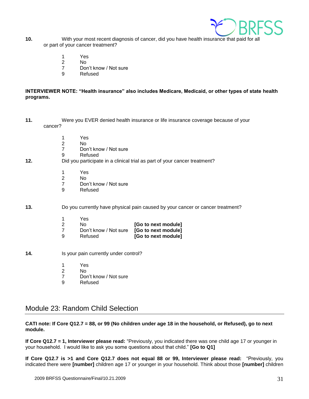

- **10.** With your most recent diagnosis of cancer, did you have health insurance that paid for all or part of your cancer treatment?
	- 1 Yes
- 2 No
	- 7 Don't know / Not sure
	- 9 Refused

#### **INTERVIEWER NOTE: "Health insurance" also includes Medicare, Medicaid, or other types of state health programs.**

- **11.** Were you EVER denied health insurance or life insurance coverage because of your cancer?
	- 1 Yes
- 2 No
	- 7 Don't know / Not sure
	- 9 Refused
- **12.** Did you participate in a clinical trial as part of your cancer treatment?
	- 1 Yes<br>2 No
- 2 No
	- 7 Don't know / Not sure
	- 9 Refused

**13.** Do you currently have physical pain caused by your cancer or cancer treatment?

|    | Yes                   |                     |
|----|-----------------------|---------------------|
| -2 | N٥                    | [Go to next module] |
|    | Don't know / Not sure | [Go to next module] |
| ാ  | Refused               | [Go to next module] |

- **14.** Is your pain currently under control?
	- 1 Yes
- 2 No
	- 7 Don't know / Not sure<br>9 Refused
	- **Refused**

## <span id="page-30-0"></span>Module 23: Random Child Selection

#### **CATI note: If Core Q12.7 = 88, or 99 (No children under age 18 in the household, or Refused), go to next module.**

**If Core Q12.7 = 1, Interviewer please read:** "Previously, you indicated there was one child age 17 or younger in your household. I would like to ask you some questions about that child." **[Go to Q1]**

**If Core Q12.7 is >1 and Core Q12.7 does not equal 88 or 99, Interviewer please read:** "Previously, you indicated there were **[number]** children age 17 or younger in your household. Think about those **[number]** children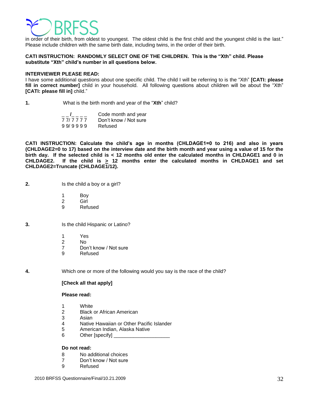

in order of their birth, from oldest to youngest. The oldest child is the first child and the youngest child is the last." Please include children with the same birth date, including twins, in the order of their birth.

#### **CATI INSTRUCTION: RANDOMLY SELECT ONE OF THE CHILDREN. This is the "Xth" child. Please substitute "Xth" child's number in all questions below.**

#### **INTERVIEWER PLEASE READ:**

I have some additional questions about one specific child. The child I will be referring to is the "Xth" **[CATI: please fill in correct number]** child in your household. All following questions about children will be about the "Xth" **[CATI: please fill in]** child."

**1.** What is the birth month and year of the "**Xth**" child?

|         | Code month and year   |
|---------|-----------------------|
| 777777  | Don't know / Not sure |
| 99/9999 | Refused               |

**CATI INSTRUCTION: Calculate the child's age in months (CHLDAGE1=0 to 216) and also in years (CHLDAGE2=0 to 17) based on the interview date and the birth month and year using a value of 15 for the birth day. If the selected child is < 12 months old enter the calculated months in CHLDAGE1 and 0 in**  CHLDAGE2. If the child is  $\geq$  12 months enter the calculated months in CHLDAGE1 and set **CHLDAGE2=Truncate (CHLDAGE1/12).** 

- **2.** Is the child a boy or a girl?
	- 1 Boy
	- 2 Girl
	- 9 Refused
- **3.** Is the child Hispanic or Latino?
	- 1 Yes
	- 2 No
	- 7 Don't know / Not sure
	- 9 Refused

**4.** Which one or more of the following would you say is the race of the child?

#### **[Check all that apply]**

#### **Please read:**

- 1 White
- 2 Black or African American
- 3 Asian
- 4 Native Hawaiian or Other Pacific Islander
- 5 American Indian, Alaska Native
- 6 Other [specify]

#### **Do not read:**

- 8 No additional choices
- 7 Don't know / Not sure
- 9 Refused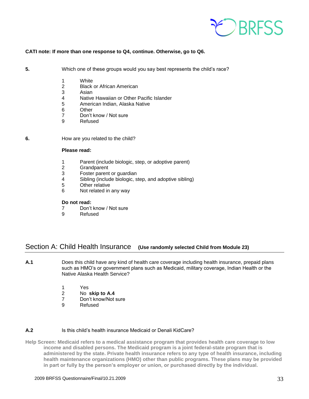

#### **CATI note: If more than one response to Q4, continue. Otherwise, go to Q6.**

**5.** Which one of these groups would you say best represents the child's race?

- 1 White
- 2 Black or African American
- 3 Asian
- 4 Native Hawaiian or Other Pacific Islander
- 5 American Indian, Alaska Native
- 6 Other
- 7 Don't know / Not sure
- 9 Refused

**6. How are you related to the child?** 

#### **Please read:**

- 1 Parent (include biologic, step, or adoptive parent)<br>2 Grandparent
- **Grandparent**
- 3 Foster parent or guardian
- 4 Sibling (include biologic, step, and adoptive sibling)
- 5 Other relative
- 6 Not related in any way

#### **Do not read:**

- 7 Don't know / Not sure<br>9 Refused
- **Refused**

## <span id="page-32-0"></span>Section A: Child Health Insurance **(Use randomly selected Child from Module 23)**

**A.1** Does this child have any kind of health care coverage including health insurance, prepaid plans such as HMO's or government plans such as Medicaid, military coverage, Indian Health or the Native Alaska Health Service?

- 1 Yes
- 2 No **skip to A.4**
- 7 Don't know/Not sure
- 9 Refused

#### **A.2** Is this child's health insurance Medicaid or Denali KidCare?

**Help Screen: Medicaid refers to a medical assistance program that provides health care coverage to low income and disabled persons. The Medicaid program is a joint federal-state program that is administered by the state. Private health insurance refers to any type of health insurance, including health maintenance organizations (HMO) other than public programs. These plans may be provided in part or fully by the person's employer or union, or purchased directly by the individual.**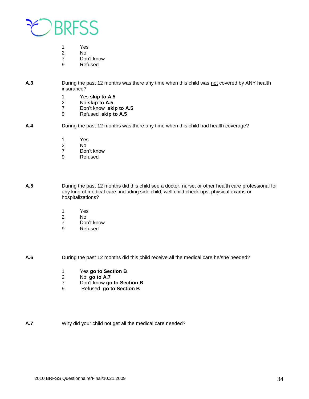

- 2 No
- 7 Don't know<br>9 Refused
- **Refused**
- **A.3** During the past 12 months was there any time when this child was not covered by ANY health insurance?
	-
	- 1 Yes **skip to A.5** 2 No **skip to A.5**
	- Don't know skip to A.5
	- 9 Refused **skip to A.5**
- **A.4** During the past 12 months was there any time when this child had health coverage?
	- 1 Yes
	- 2 No
	- 7 Don't know
	- 9 Refused

**A.5** During the past 12 months did this child see a doctor, nurse, or other health care professional for any kind of medical care, including sick-child, well child check ups, physical exams or hospitalizations?

- 1 Yes
- 2 No<br>7 Dol
- Don't know
- 9 Refused

**A.6** During the past 12 months did this child receive all the medical care he/she needed?

- 1 Yes **go to Section B**
- 2 No **go to A.7**
- 7 Don't know **go to Section B**
- 9 Refused **go to Section B**

**A.7** Why did your child not get all the medical care needed?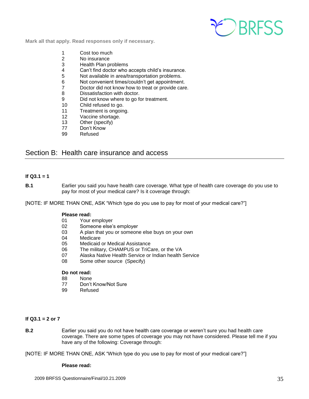

**Mark all that apply. Read responses only if necessary.**

- 1 Cost too much
- 2 No insurance
- 3 Health Plan problems
- 4 Can't find doctor who accepts child's insurance.
- 5 Not available in area/transportation problems.
- 6 Not convenient times/couldn't get appointment.
- 7 Doctor did not know how to treat or provide care.
- 8 Dissatisfaction with doctor.
- 9 Did not know where to go for treatment.
- 10 Child refused to go.
- 11 Treatment is ongoing.
- 12 Vaccine shortage.
- 13 Other (specify)
- 77 Don't Know
- 99 Refused

## <span id="page-34-0"></span>Section B: Health care insurance and access

#### **If Q3.1 = 1**

**B.1** Earlier you said you have health care coverage. What type of health care coverage do you use to pay for most of your medical care? Is it coverage through:

[NOTE: IF MORE THAN ONE, ASK "Which type do you use to pay for most of your medical care?"]

#### **Please read:**

- 01 Your employer
- 02 Someone else's employer
- 03 A plan that you or someone else buys on your own
- 04 Medicare
- 05 Medicaid or Medical Assistance
- 06 The military, CHAMPUS or TriCare, or the VA
- 07 Alaska Native Health Service or Indian health Service
- 08 Some other source (Specify)

#### **Do not read:**

- 88 None
- 77 Don't Know/Not Sure
- 99 Refused

#### **If Q3.1 = 2 or 7**

**B.2** Earlier you said you do not have health care coverage or weren't sure you had health care coverage. There are some types of coverage you may not have considered. Please tell me if you have any of the following: Coverage through:

[NOTE: IF MORE THAN ONE, ASK "Which type do you use to pay for most of your medical care?"]

#### **Please read:**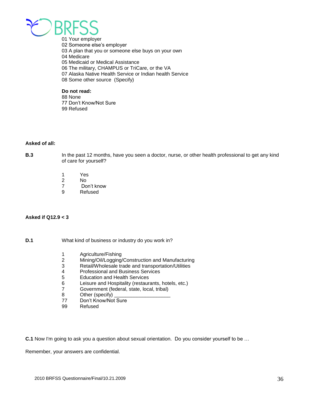

01 Your employer 02 Someone else's employer 03 A plan that you or someone else buys on your own 04 Medicare 05 Medicaid or Medical Assistance 06 The military, CHAMPUS or TriCare, or the VA 07 Alaska Native Health Service or Indian health Service 08 Some other source (Specify)

## **Do not read:**

88 None 77 Don't Know/Not Sure 99 Refused

#### **Asked of all:**

**B.3** In the past 12 months, have you seen a doctor, nurse, or other health professional to get any kind of care for yourself?

- 1 Yes<br>2 No
- 2 No<br>7 Do
- Don't know
- 9 Refused

#### **Asked if Q12.9 < 3**

**D.1** What kind of business or industry do you work in?

- 1 Agriculture/Fishing
- 2 Mining/Oil/Logging/Construction and Manufacturing<br>3 Retail/Wholesale trade and transportation/Utilities
- Retail/Wholesale trade and transportation/Utilities
- 4 Professional and Business Services<br>5 Education and Health Services
- 5 Education and Health Services
- 6 Leisure and Hospitality (restaurants, hotels, etc.)
- 7 Government (federal, state, local, tribal)
- 8 Other (specify)
- 77 Don't Know/Not Sure
- 99 Refused

**C.1** Now I'm going to ask you a question about sexual orientation. Do you consider yourself to be …

Remember, your answers are confidential.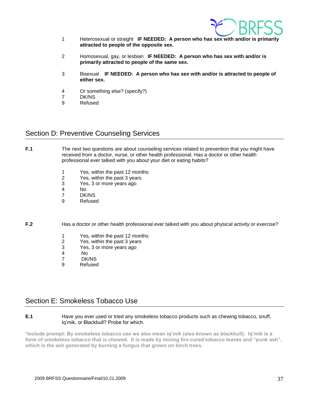

- 1 Heterosexual or straight **IF NEEDED: A person who has sex with and/or is primarily attracted to people of the opposite sex.**
- 2 Homosexual, gay, or lesbian **IF NEEDED: A person who has sex with and/or is primarily attracted to people of the same sex.**
- 3 Bisexual **IF NEEDED: A person who has sex with and/or is attracted to people of either sex.**
- 4 Or something else? (specify?)
- 7 DK/NS
- 9 Refused

## <span id="page-36-0"></span>Section D: Preventive Counseling Services

**F.1** The next two questions are about counseling services related to prevention that you might have received from a doctor, nurse, or other health professional. Has a doctor or other health professional ever talked with you about your diet or eating habits?

- 1 Yes, within the past 12 months<br>2 Yes, within the past 3 years
- Yes, within the past 3 years
- 3 Yes, 3 or more years ago
- 4 No
- 7 DK/NS
- 9 Refused

**F.2** Has a doctor or other health professional ever talked with you about physical activity or exercise?

- 1 Yes, within the past 12 months<br>2 Yes, within the past 3 years
- 2 Yes, within the past 3 years<br>3 Yes, 3 or more years ago
- 3 Yes, 3 or more years ago
- 4 No
- 7 DK/NS
- 9 Refused

## <span id="page-36-1"></span>Section E: Smokeless Tobacco Use

#### **E.1** Have you ever used or tried any smokeless tobacco products such as chewing tobacco, snuff, Iq'mik, or Blackbull? Probe for which.

**\*Include prompt: By smokeless tobacco use we also mean iq'mik (also known as blackbull). Iq'mik is a form of smokeless tobacco that is chewed. It is made by mixing fire-cured tobacco leaves and "punk ash", which is the ash generated by burning a fungus that grows on birch trees.**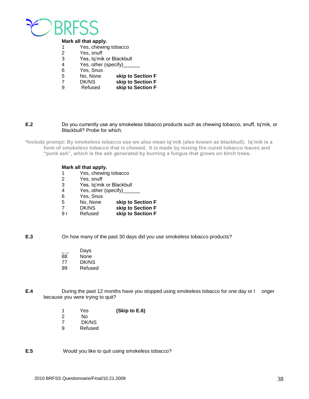

#### **Mark all that apply.**

- 1 Yes, chewing tobacco<br>2 Yes, snuff
- 2 Yes, snuff<br>3 Yes, la'mik
- 3 Yes, Iq'mik or Blackbull<br>4 Yes, other (specify)
	- Yes, other (specify)\_
- 6 Yes, Snus
- 5 No, None **skip to Section F**
- 7 DK/NS **skip to Section F**
- 9 Refused **skip to Section F**

#### **E.2** Do you currently use any smokeless tobacco products such as chewing tobacco, snuff, Iq'mik, or Blackbull? Probe for which.

**\*Include prompt: By smokeless tobacco use we also mean iq'mik (also known as blackbull). Iq'mik is a form of smokeless tobacco that is chewed. It is made by mixing fire-cured tobacco leaves and "punk ash", which is the ash generated by burning a fungus that grows on birch trees.**

#### **Mark all that apply.**

- 1 Yes, chewing tobacco
- 2 Yes, snuff
- 3 Yes, Iq'mik or Blackbull
- 4 Yes, other (specify)\_\_\_\_\_\_
- 6 Yes, Snus
- 5 No, None **skip to Section F**
- 7 DK/NS **skip to Section F**
- skip to Section **F**

**E.3** On how many of the past 30 days did you use smokeless tobacco products?

- $\frac{1}{88}$  Days
- **None**
- 77 DK/NS
- 99 Refused
- **E.4** During the past 12 months have you stopped using smokeless tobacco for one day or l onger because you were trying to quit?
	- 1 Yes **(Skip to E.6)**
	- No.
	- 7 DK/NS<br>9 Refused
	- **Refused**

**E.5** Would you like to quit using smokeless tobacco?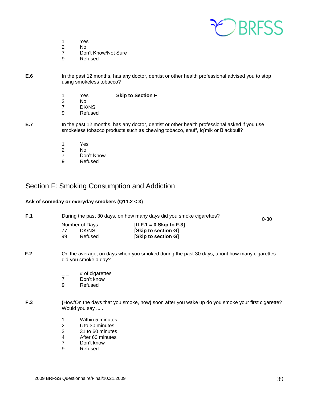

- 1 Yes<br>2 No
- 2 No
- Don't Know/Not Sure
- 9 Refused
- **E.6** In the past 12 months, has any doctor, dentist or other health professional advised you to stop using smokeless tobacco?
	- 1 Yes **Skip to Section F**  2 No 7 DK/NS
	-
	- 9 Refused
- **E.7** In the past 12 months, has any doctor, dentist or other health professional asked if you use smokeless tobacco products such as chewing tobacco, snuff, Iq'mik or Blackbull?
	- 1 Yes
	- 2 No
	- 7 Don't Know<br>9 Refused
	- **Refused**

## <span id="page-38-0"></span>Section F: Smoking Consumption and Addiction

#### **Ask of someday or everyday smokers (Q11.2 < 3)**

| F.1 | During the past 30 days, on how many days did you smoke cigarettes?                                                |                                                                                        |                                                                             | $0 - 30$ |
|-----|--------------------------------------------------------------------------------------------------------------------|----------------------------------------------------------------------------------------|-----------------------------------------------------------------------------|----------|
|     | 77<br>99                                                                                                           | Number of Days<br>DK/NS<br>Refused                                                     | [If $F.1 = 0$ Skip to $F.3$ ]<br>[Skip to section G]<br>[Skip to section G] |          |
| F.2 | On the average, on days when you smoked during the past 30 days, about how many cigarettes<br>did you smoke a day? |                                                                                        |                                                                             |          |
|     | $\overline{7}$<br>9                                                                                                | # of cigarettes<br>Don't know<br>Refused                                               |                                                                             |          |
| F.3 | {How/On the days that you smoke, how} soon after you wake up do you smoke your first cigarette?<br>Would you say   |                                                                                        |                                                                             |          |
|     | 1<br>2<br>3                                                                                                        | Within 5 minutes<br>6 to 30 minutes<br>31 to 60 minutes<br>$\mathbf{r}$ . $\mathbf{r}$ |                                                                             |          |

- 4 After 60 minutes<br>7 Don't know
- Don't know
- 9 Refused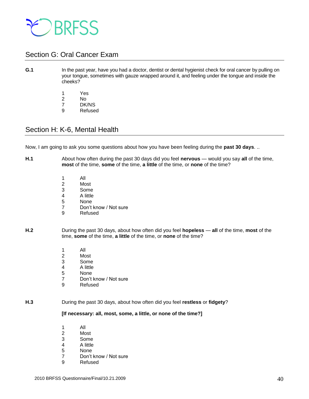

## <span id="page-39-0"></span>Section G: Oral Cancer Exam

#### **G.1** In the past year, have you had a doctor, dentist or dental hygienist check for oral cancer by pulling on your tongue, sometimes with gauze wrapped around it, and feeling under the tongue and inside the cheeks?

- 1 Yes 2 No
- 7 DK/NS
- 9 Refused

## <span id="page-39-1"></span>Section H: K-6, Mental Health

Now, I am going to ask you some questions about how you have been feeling during the **past 30 days**. ..

- **H.1** About how often during the past 30 days did you feel **nervous**  would you say **all** of the time, **most** of the time, **some** of the time, **a little** of the time, or **none** of the time?
	- 1 All
	- 2 Most
	- 3 Some
	- 4 A little
	- 5 None
	- 7 Don't know / Not sure
	- 9 Refused
- **H.2** During the past 30 days, about how often did you feel **hopeless all** of the time, **most** of the time, **some** of the time, **a little** of the time, or **none** of the time?
	- 1 All
	- 2 Most
	- 3 Some
	- 4 A little
	- 5 None
	- 7 Don't know / Not sure
	- 9 Refused

#### **H.3** During the past 30 days, about how often did you feel **restless** or **fidgety**?

#### **[If necessary: all, most, some, a little, or none of the time?]**

- 1 All 2 Most
- 3 Some
- 4 A little
- 5 None
- 7 Don't know / Not sure
- 9 Refused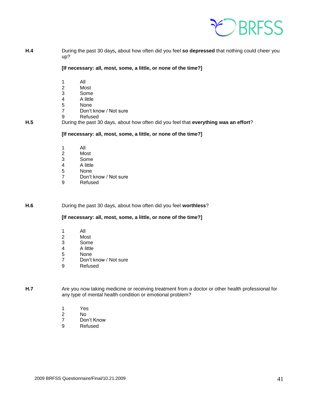

**H.4** During the past 30 days**,** about how often did you feel **so depressed** that nothing could cheer you up?

**[If necessary: all, most, some, a little, or none of the time?]** 

- 1 All
- 2 Most
- 3 Some<br>4 A little
- 4 A little
- 5 None<br>7 Don't
- Don't know / Not sure
- 9 Refused
- **H.5** During the past 30 days, about how often did you feel that **everything was an effort**?

**[If necessary: all, most, some, a little, or none of the time?]** 

- 1 All
- 2 Most<br>3 Some
- 3 Some
- 4 A little
- 5 None
- 7 Don't know / Not sure<br>9 Refused
- **Refused**

**H.6** During the past 30 days, about how often did you feel **worthless**?

**[If necessary: all, most, some, a little, or none of the time?]** 

- 1 All
- 2 Most
- 3 Some<br>4 A little
- 4 A little
- 5 None
- 7 Don't know / Not sure<br>9 Refused
- **Refused**

**H.7** Are you now taking medicine or receiving treatment from a doctor or other health professional for any type of mental health condition or emotional problem?

- 1 Yes
- 2 No
- 7 Don't Know
- 9 Refused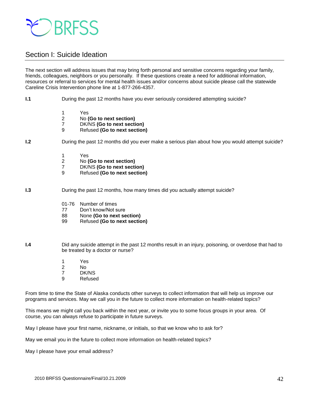

## <span id="page-41-0"></span>Section I: Suicide Ideation

The next section will address issues that may bring forth personal and sensitive concerns regarding your family, friends, colleagues, neighbors or you personally. If these questions create a need for additional information, resources or referral to services for mental health issues and/or concerns about suicide please call the statewide Careline Crisis Intervention phone line at 1-877-266-4357.

- **I.1 During the past 12 months have you ever seriously considered attempting suicide?** 
	- 1 Yes
	- 2 No **(Go to next section)**
	-
	- 7 DK/NS **(Go to next section)**  9 Refused **(Go to next section)**

#### **I.2 During the past 12 months did you ever make a serious plan about how you would attempt suicide?**

- 1 Yes
- 2 No **(Go to next section)**
- 7 DK/NS **(Go to next section)**
- 9 Refused **(Go to next section)**

**I.3 During the past 12 months, how many times did you actually attempt suicide?** 

- 01-76 Number of times
- 77 Don't know/Not sure
- 88 None **(Go to next section)**
- 99 Refused **(Go to next section)**

**I.4** Did any suicide attempt in the past 12 months result in an injury, poisoning, or overdose that had to be treated by a doctor or nurse?

- 1 Yes 2 No 7 DK/NS
- 9 Refused
- 

From time to time the State of Alaska conducts other surveys to collect information that will help us improve our programs and services. May we call you in the future to collect more information on health-related topics?

This means we might call you back within the next year, or invite you to some focus groups in your area. Of course, you can always refuse to participate in future surveys.

May I please have your first name, nickname, or initials, so that we know who to ask for?

May we email you in the future to collect more information on health-related topics?

May I please have your email address?